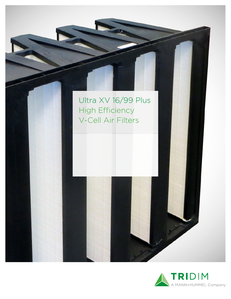

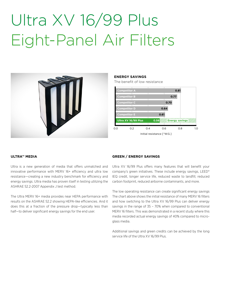## Ultra XV 16/99 Plus Eight-Panel Air Filters



### **ENERGY SAVINGS**

The benefit of low resistance



#### **ULTRA™ MEDIA**

Ultra is a new generation of media that offers unmatched and innovative performance with MERV 16+ efficiency and ultra low resistance—creating a new industry benchmark for efficiency and energy savings. Ultra media has proven itself in testing utilizing the ASHRAE 52.2-2007 Appendix J test method.

The Ultra MERV 16+ media provides near HEPA performance with results on the ASHRAE 52.2 showing HEPA-like efficiencies. And it does this at a fraction of the pressure drop—typically less than half—to deliver significant energy savings for the end user.

#### **GREEN / ENERGY SAVINGS**

Ultra XV 16/99 Plus offers many features that will benefit your company's green initiatives. These include energy savings, LEED® IEQ credit, longer service life, reduced waste to landfill, reduced carbon footprint, reduced airborne contaminants, and more.

The low operating resistance can create significant energy savings The chart above shows the initial resistance of many MERV 16 filters and how switching to the Ultra XV 16/99 Plus can deliver energy savings in the range of 35 – 70% when compared to conventional MERV 16 filters. This was demonstrated in a recent study where this media recorded actual energy savings of 40% compared to microglass media.

Additional savings and green credits can be achieved by the long service life of the Ultra XV 16/99 Plus.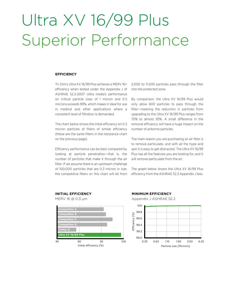### Ultra XV 16/99 Plus Superior Performance

#### **EFFICIENCY**

Tri-Dim's Ultra XV 16/99 Plus achieves a MERV 16+ efficiency when tested under the Appendix J of ASHRAE 52.2-2007. Ultra media's performance on critical particle sizes of 1 micron and 0.5 microns exceeds 99%, which makes it ideal for use in medical and other applications where a consistent level of filtration is demanded.

The chart below shows the initial efficiency on 0.3 micron particles of filters of similar efficiency (these are the same filters in the resistance chart on the previous page).

Efficiency performance can be best compared by looking at particle penetration—that is, the number of particles that make it through the air filter. If we assume there is an upstream challenge of 100,000 particles that are 0.3 micron in size, the competitive filters on this chart will let from

2,000 to 11,000 particles pass through the filter into the protected zone.

By comparison, the Ultra XV 16/99 Plus would only allow 600 particles to pass through the filter—meaning the reduction in particles from upgrading to the Ultra XV 16/99 Plus ranges from 70% to almost 95%. A small difference in the removal efficiency will have a huge impact on the number of airborne particles.

The main reason you are purchasing an air filter is to remove particulate, and with all the hype and spin it is easy to get distracted. The Ultra XV 16/99 Plus has all the features you are looking for, and it will remove particulate from the air.

The graph below shows the Ultra XV 16/99 Plus efficiency from the ASHRAE 52.2 Appendix J test.



### **MINIMUM EFFICIENCY**



Particle size [Microns] 0.35 0.62 1.15 1.90 3.50 6.25